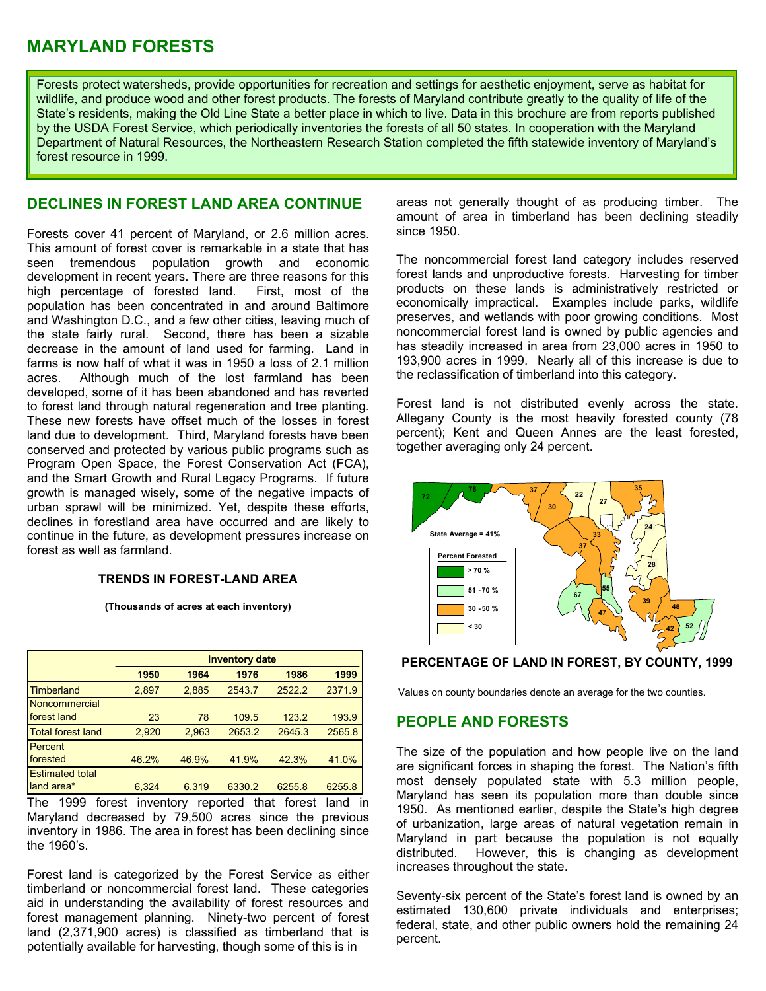# **MARYLAND FORESTS**

Forests protect watersheds, provide opportunities for recreation and settings for aesthetic enjoyment, serve as habitat for wildlife, and produce wood and other forest products. The forests of Maryland contribute greatly to the quality of life of the State's residents, making the Old Line State a better place in which to live. Data in this brochure are from reports published by the USDA Forest Service, which periodically inventories the forests of all 50 states. In cooperation with the Maryland Department of Natural Resources, the Northeastern Research Station completed the fifth statewide inventory of Maryland's forest resource in 1999.

Forests cover 41 percent of Maryland, or 2.6 million acres. since 1950. This amount of forest cover is remarkable in a state that has seen tremendous population growth and economic development in recent years. There are three reasons for this high percentage of forested land. First, most of the population has been concentrated in and around Baltimore and Washington D.C., and a few other cities, leaving much of the state fairly rural. Second, there has been a sizable decrease in the amount of land used for farming. Land in farms is now half of what it was in 1950 a loss of 2.1 million acres. Although much of the lost farmland has been developed, some of it has been abandoned and has reverted to forest land through natural regeneration and tree planting. These new forests have offset much of the losses in forest land due to development. Third, Maryland forests have been conserved and protected by various public programs such as Program Open Space, the Forest Conservation Act (FCA), and the Smart Growth and Rural Legacy Programs. If future growth is managed wisely, some of the negative impacts of urban sprawl will be minimized. Yet, despite these efforts, declines in forestland area have occurred and are likely to continue in the future, as development pressures increase on forest as well as farmland.

# **TRENDS IN FOREST-LAND AREA**

**(Thousands of acres at each inventory)**

|                          | <b>Inventory date</b> |       |        |        |        |
|--------------------------|-----------------------|-------|--------|--------|--------|
|                          | 1950                  | 1964  | 1976   | 1986   | 1999   |
| Timberland               | 2,897                 | 2.885 | 2543.7 | 2522.2 | 2371.9 |
| Noncommercial            |                       |       |        |        |        |
| forest land              | 23                    | 78    | 109.5  | 123.2  | 193.9  |
| <b>Total forest land</b> | 2,920                 | 2,963 | 2653.2 | 2645.3 | 2565.8 |
| Percent                  |                       |       |        |        |        |
| forested                 | 46.2%                 | 46.9% | 41.9%  | 42.3%  | 41.0%  |
| <b>Estimated total</b>   |                       |       |        |        |        |
| land area*               | 6,324                 | 6.319 | 6330.2 | 6255.8 | 6255.8 |

The 1999 forest inventory reported that forest land in Maryland decreased by 79,500 acres since the previous inventory in 1986. The area in forest has been declining since the 1960's.

Forest land is categorized by the Forest Service as either timberland or noncommercial forest land. These categories aid in understanding the availability of forest resources and forest management planning. Ninety-two percent of forest land (2,371,900 acres) is classified as timberland that is potentially available for harvesting, though some of this is in

**DECLINES IN FOREST LAND AREA CONTINUE** areas not generally thought of as producing timber. The amount of area in timberland has been declining steadily

> The noncommercial forest land category includes reserved forest lands and unproductive forests. Harvesting for timber products on these lands is administratively restricted or economically impractical. Examples include parks, wildlife preserves, and wetlands with poor growing conditions. Most noncommercial forest land is owned by public agencies and has steadily increased in area from 23,000 acres in 1950 to 193,900 acres in 1999. Nearly all of this increase is due to the reclassification of timberland into this category.

> Forest land is not distributed evenly across the state. Allegany County is the most heavily forested county (78 percent); Kent and Queen Annes are the least forested, together averaging only 24 percent.



**PERCENTAGE OF LAND IN FOREST, BY COUNTY, 1999** 

Values on county boundaries denote an average for the two counties.

# **PEOPLE AND FORESTS**

The size of the population and how people live on the land are significant forces in shaping the forest. The Nation's fifth most densely populated state with 5.3 million people, Maryland has seen its population more than double since 1950. As mentioned earlier, despite the State's high degree of urbanization, large areas of natural vegetation remain in Maryland in part because the population is not equally distributed. However, this is changing as development increases throughout the state.

Seventy-six percent of the State's forest land is owned by an estimated 130,600 private individuals and enterprises; federal, state, and other public owners hold the remaining 24 percent.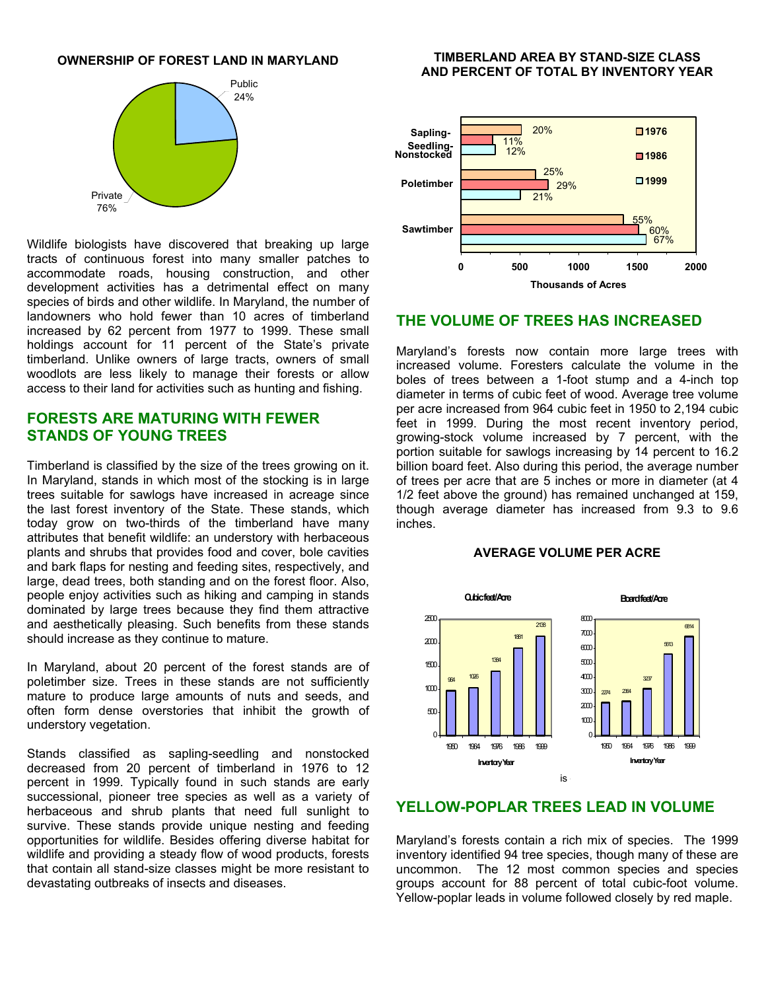

Wildlife biologists have discovered that breaking up large tracts of continuous forest into many smaller patches to accommodate roads, housing construction, and other development activities has a detrimental effect on many species of birds and other wildlife. In Maryland, the number of landowners who hold fewer than 10 acres of timberland increased by 62 percent from 1977 to 1999. These small holdings account for 11 percent of the State's private timberland. Unlike owners of large tracts, owners of small woodlots are less likely to manage their forests or allow access to their land for activities such as hunting and fishing.

# **FORESTS ARE MATURING WITH FEWER STANDS OF YOUNG TREES**

Timberland is classified by the size of the trees growing on it. In Maryland, stands in which most of the stocking is in large trees suitable for sawlogs have increased in acreage since the last forest inventory of the State. These stands, which today grow on two-thirds of the timberland have many attributes that benefit wildlife: an understory with herbaceous plants and shrubs that provides food and cover, bole cavities and bark flaps for nesting and feeding sites, respectively, and large, dead trees, both standing and on the forest floor. Also, people enjoy activities such as hiking and camping in stands dominated by large trees because they find them attractive and aesthetically pleasing. Such benefits from these stands should increase as they continue to mature.

In Maryland, about 20 percent of the forest stands are of poletimber size. Trees in these stands are not sufficiently mature to produce large amounts of nuts and seeds, and often form dense overstories that inhibit the growth of understory vegetation.

Stands classified as sapling-seedling and nonstocked decreased from 20 percent of timberland in 1976 to 12 percent in 1999. Typically found in such stands are early successional, pioneer tree species as well as a variety of herbaceous and shrub plants that need full sunlight to survive. These stands provide unique nesting and feeding opportunities for wildlife. Besides offering diverse habitat for wildlife and providing a steady flow of wood products, forests that contain all stand-size classes might be more resistant to devastating outbreaks of insects and diseases.

#### **OWNERSHIP OF FOREST LAND IN MARYLAND FIMBERLAND AREA BY STAND-SIZE CLASS AND PERCENT OF TOTAL BY INVENTORY YEAR**



### **THE VOLUME OF TREES HAS INCREASED**

Maryland's forests now contain more large trees with increased volume. Foresters calculate the volume in the boles of trees between a 1-foot stump and a 4-inch top diameter in terms of cubic feet of wood. Average tree volume per acre increased from 964 cubic feet in 1950 to 2,194 cubic feet in 1999. During the most recent inventory period, growing-stock volume increased by 7 percent, with the portion suitable for sawlogs increasing by 14 percent to 16.2 billion board feet. Also during this period, the average number of trees per acre that are 5 inches or more in diameter (at 4 1/2 feet above the ground) has remained unchanged at 159, though average diameter has increased from 9.3 to 9.6 inches.

#### **AVERAGE VOLUME PER ACRE**



# **YELLOW-POPLAR TREES LEAD IN VOLUME**

Maryland's forests contain a rich mix of species. The 1999 inventory identified 94 tree species, though many of these are uncommon. The 12 most common species and species groups account for 88 percent of total cubic-foot volume. Yellow-poplar leads in volume followed closely by red maple.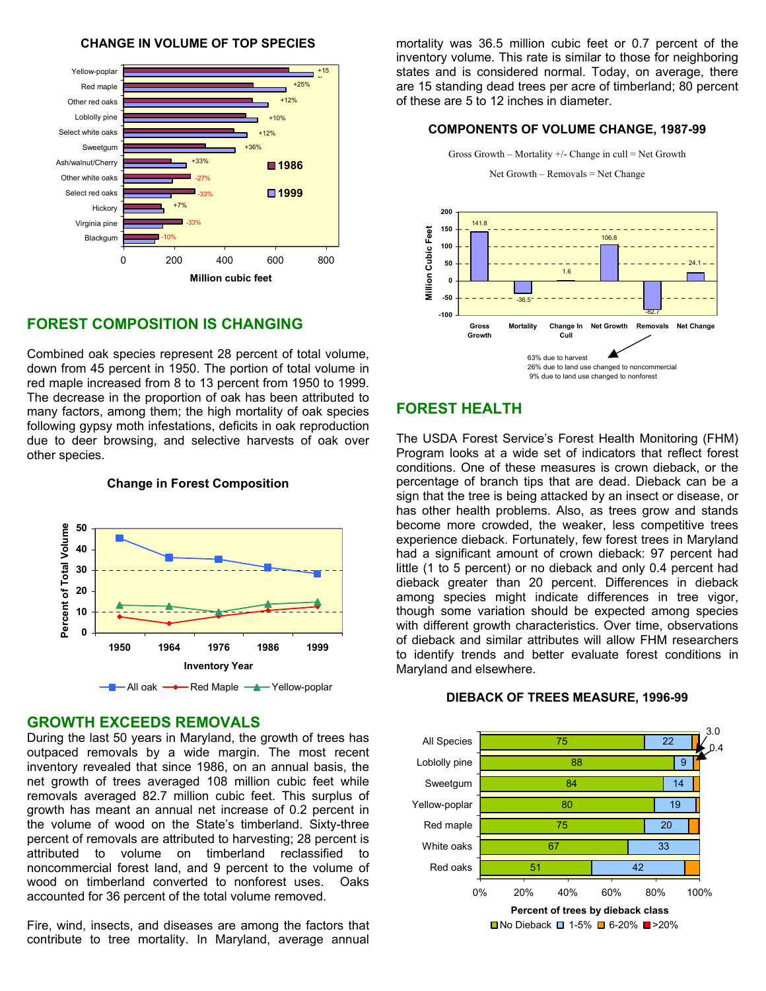



# **FOREST COMPOSITION IS CHANGING**

Combined oak species represent 28 percent of total volume, down from 45 percent in 1950. The portion of total volume in red maple increased from 8 to 13 percent from 1950 to 1999. The decrease in the proportion of oak has been attributed to many factors, among them; the high mortality of oak species following gypsy moth infestations, deficits in oak reproduction due to deer browsing, and selective harvests of oak over other species.

#### **Change in Forest Composition**



# **GROWTH EXCEEDS REMOVALS**

During the last 50 years in Maryland, the growth of trees has outpaced removals by a wide margin. The most recent inventory revealed that since 1986, on an annual basis, the net growth of trees averaged 108 million cubic feet while removals averaged 82.7 million cubic feet. This surplus of growth has meant an annual net increase of 0.2 percent in the volume of wood on the State's timberland. Sixty-three percent of removals are attributed to harvesting; 28 percent is attributed to volume on timberland reclassified to noncommercial forest land, and 9 percent to the volume of wood on timberland converted to nonforest uses. Oaks accounted for 36 percent of the total volume removed.

Fire, wind, insects, and diseases are among the factors that contribute to tree mortality. In Maryland, average annual mortality was 36.5 million cubic feet or 0.7 percent of the inventory volume. This rate is similar to those for neighboring states and is considered normal. Today, on average, there are 15 standing dead trees per acre of timberland; 80 percent of these are 5 to 12 inches in diameter.

### **COMPONENTS OF VOLUME CHANGE, 1987-99**



# **FOREST HEALTH**

The USDA Forest Service's Forest Health Monitoring (FHM) Program looks at a wide set of indicators that reflect forest conditions. One of these measures is crown dieback, or the percentage of branch tips that are dead. Dieback can be a sign that the tree is being attacked by an insect or disease, or has other health problems. Also, as trees grow and stands become more crowded, the weaker, less competitive trees experience dieback. Fortunately, few forest trees in Maryland had a significant amount of crown dieback: 97 percent had little (1 to 5 percent) or no dieback and only 0.4 percent had dieback greater than 20 percent. Differences in dieback among species might indicate differences in tree vigor, though some variation should be expected among species with different growth characteristics. Over time, observations of dieback and similar attributes will allow FHM researchers to identify trends and better evaluate forest conditions in Maryland and elsewhere.

#### 51 67 75 80 84 88 75 42 33 20 19 14  $\overline{9}$  $\overline{22}$ 0% 20% 40% 60% 80% 100% Red oaks White oaks Red maple Yellow-poplar Sweetgum Loblolly pine All Species **Percent of trees by dieback class**  $\blacksquare$  No Dieback  $\blacksquare$  1-5%  $\blacksquare$  6-20%  $\blacksquare$  >20% 3.0  $\Omega$

#### **DIEBACK OF TREES MEASURE, 1996-99**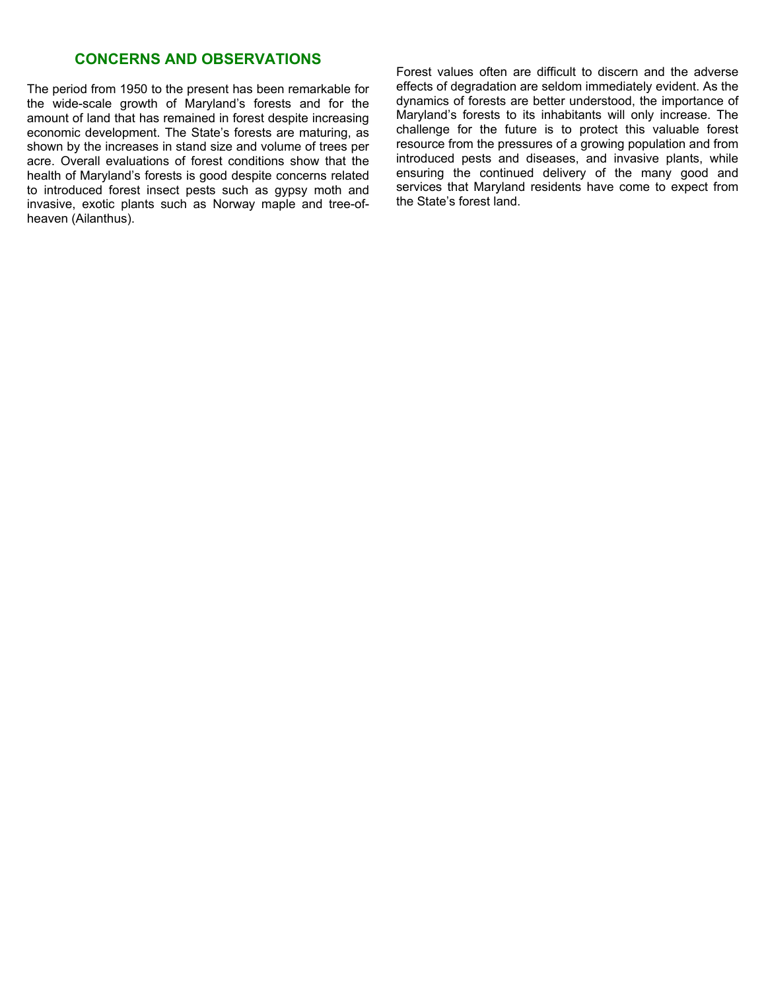# **CONCERNS AND OBSERVATIONS**

The period from 1950 to the present has been remarkable for the wide-scale growth of Maryland's forests and for the amount of land that has remained in forest despite increasing economic development. The State's forests are maturing, as shown by the increases in stand size and volume of trees per acre. Overall evaluations of forest conditions show that the health of Maryland's forests is good despite concerns related to introduced forest insect pests such as gypsy moth and invasive, exotic plants such as Norway maple and tree-ofheaven (Ailanthus).

Forest values often are difficult to discern and the adverse effects of degradation are seldom immediately evident. As the dynamics of forests are better understood, the importance of Maryland's forests to its inhabitants will only increase. The challenge for the future is to protect this valuable forest resource from the pressures of a growing population and from introduced pests and diseases, and invasive plants, while ensuring the continued delivery of the many good and services that Maryland residents have come to expect from the State's forest land.